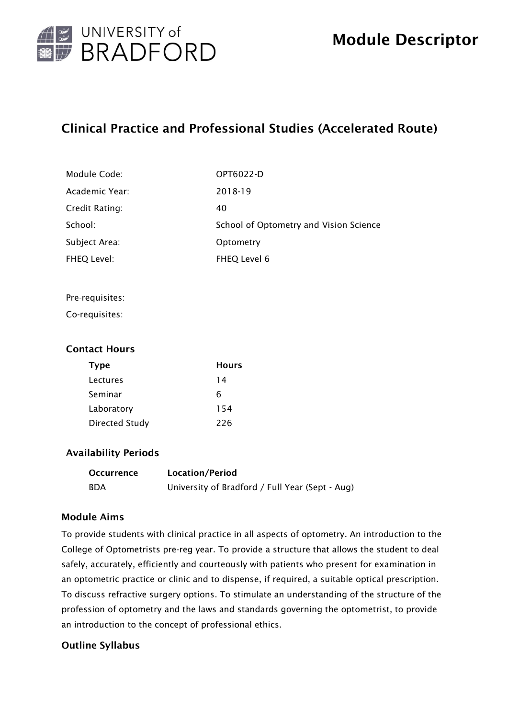

# Clinical Practice and Professional Studies (Accelerated Route)

| Module Code:   | OPT6022-D                              |
|----------------|----------------------------------------|
| Academic Year: | 2018-19                                |
| Credit Rating: | 40                                     |
| School:        | School of Optometry and Vision Science |
| Subject Area:  | Optometry                              |
| FHEQ Level:    | FHEQ Level 6                           |

#### Pre-requisites:

Co-requisites:

#### Contact Hours

| <b>Type</b>           | Hours |
|-----------------------|-------|
| Lectures              | 14    |
| Seminar               | 6     |
| Laboratory            | 154   |
| <b>Directed Study</b> | 226   |

#### Availability Periods

| <b>Occurrence</b> | Location/Period                                 |
|-------------------|-------------------------------------------------|
| <b>BDA</b>        | University of Bradford / Full Year (Sept - Aug) |

#### Module Aims

To provide students with clinical practice in all aspects of optometry. An introduction to the College of Optometrists pre-reg year. To provide a structure that allows the student to deal safely, accurately, efficiently and courteously with patients who present for examination in an optometric practice or clinic and to dispense, if required, a suitable optical prescription. To discuss refractive surgery options. To stimulate an understanding of the structure of the profession of optometry and the laws and standards governing the optometrist, to provide an introduction to the concept of professional ethics.

## Outline Syllabus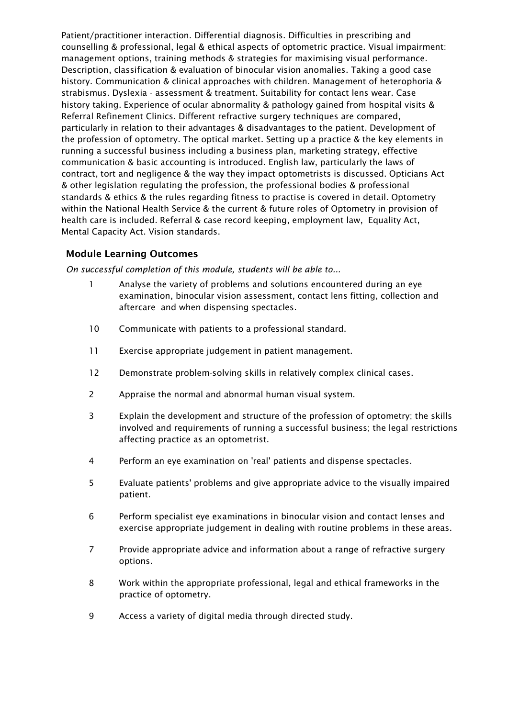Patient/practitioner interaction. Differential diagnosis. Difficulties in prescribing and counselling & professional, legal & ethical aspects of optometric practice. Visual impairment: management options, training methods & strategies for maximising visual performance. Description, classification & evaluation of binocular vision anomalies. Taking a good case history. Communication & clinical approaches with children. Management of heterophoria & strabismus. Dyslexia - assessment & treatment. Suitability for contact lens wear. Case history taking. Experience of ocular abnormality & pathology gained from hospital visits & Referral Refinement Clinics. Different refractive surgery techniques are compared, particularly in relation to their advantages & disadvantages to the patient. Development of the profession of optometry. The optical market. Setting up a practice & the key elements in running a successful business including a business plan, marketing strategy, effective communication & basic accounting is introduced. English law, particularly the laws of contract, tort and negligence & the way they impact optometrists is discussed. Opticians Act & other legislation regulating the profession, the professional bodies & professional standards & ethics & the rules regarding fitness to practise is covered in detail. Optometry within the National Health Service & the current & future roles of Optometry in provision of health care is included. Referral & case record keeping, employment law, Equality Act, Mental Capacity Act. Vision standards.

### Module Learning Outcomes

*On successful completion of this module, students will be able to...*

- 1 Analyse the variety of problems and solutions encountered during an eye examination, binocular vision assessment, contact lens fitting, collection and aftercare and when dispensing spectacles.
- 10 Communicate with patients to a professional standard.
- 11 Exercise appropriate judgement in patient management.
- 12 Demonstrate problem-solving skills in relatively complex clinical cases.
- 2 Appraise the normal and abnormal human visual system.
- 3 Explain the development and structure of the profession of optometry; the skills involved and requirements of running a successful business; the legal restrictions affecting practice as an optometrist.
- 4 Perform an eye examination on 'real' patients and dispense spectacles.
- 5 Evaluate patients' problems and give appropriate advice to the visually impaired patient.
- 6 Perform specialist eye examinations in binocular vision and contact lenses and exercise appropriate judgement in dealing with routine problems in these areas.
- 7 Provide appropriate advice and information about a range of refractive surgery options.
- 8 Work within the appropriate professional, legal and ethical frameworks in the practice of optometry.
- 9 Access a variety of digital media through directed study.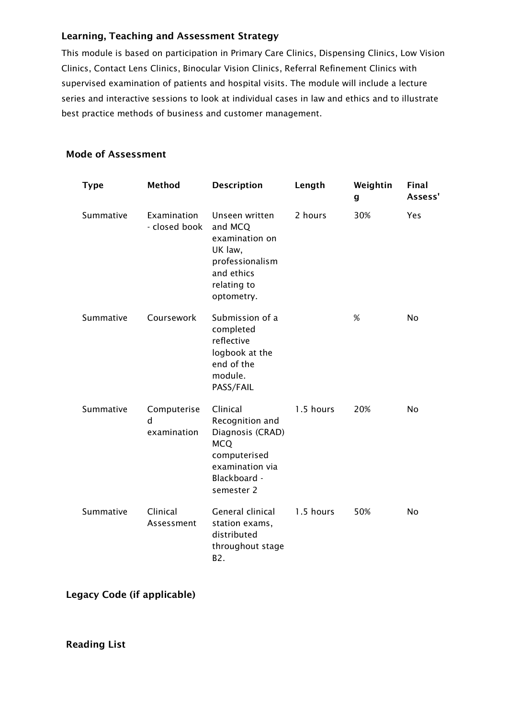## Learning, Teaching and Assessment Strategy

This module is based on participation in Primary Care Clinics, Dispensing Clinics, Low Vision Clinics, Contact Lens Clinics, Binocular Vision Clinics, Referral Refinement Clinics with supervised examination of patients and hospital visits. The module will include a lecture series and interactive sessions to look at individual cases in law and ethics and to illustrate best practice methods of business and customer management.

| <b>Type</b> | <b>Method</b>                   | <b>Description</b>                                                                                                             | Length    | Weightin<br>g | Final<br>Assess' |
|-------------|---------------------------------|--------------------------------------------------------------------------------------------------------------------------------|-----------|---------------|------------------|
| Summative   | Examination<br>- closed book    | Unseen written<br>and MCQ<br>examination on<br>UK law,<br>professionalism<br>and ethics<br>relating to<br>optometry.           | 2 hours   | 30%           | <b>Yes</b>       |
| Summative   | Coursework                      | Submission of a<br>completed<br>reflective<br>logbook at the<br>end of the<br>module.<br>PASS/FAIL                             |           | %             | No               |
| Summative   | Computerise<br>d<br>examination | Clinical<br>Recognition and<br>Diagnosis (CRAD)<br><b>MCQ</b><br>computerised<br>examination via<br>Blackboard -<br>semester 2 | 1.5 hours | 20%           | No.              |
| Summative   | Clinical<br>Assessment          | General clinical<br>station exams,<br>distributed<br>throughout stage<br>B <sub>2</sub> .                                      | 1.5 hours | 50%           | <b>No</b>        |

## Mode of Assessment

Legacy Code (if applicable)

Reading List